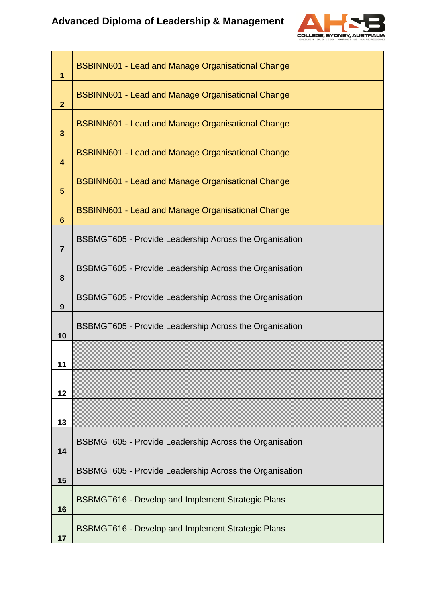

| $\mathbf{1}$            | <b>BSBINN601 - Lead and Manage Organisational Change</b>      |  |  |  |  |  |
|-------------------------|---------------------------------------------------------------|--|--|--|--|--|
| $\overline{2}$          | <b>BSBINN601 - Lead and Manage Organisational Change</b>      |  |  |  |  |  |
| 3                       | <b>BSBINN601 - Lead and Manage Organisational Change</b>      |  |  |  |  |  |
| $\overline{\mathbf{4}}$ | <b>BSBINN601 - Lead and Manage Organisational Change</b>      |  |  |  |  |  |
| $\overline{\mathbf{5}}$ | <b>BSBINN601 - Lead and Manage Organisational Change</b>      |  |  |  |  |  |
| $6\phantom{1}$          | <b>BSBINN601 - Lead and Manage Organisational Change</b>      |  |  |  |  |  |
| $\overline{7}$          | <b>BSBMGT605 - Provide Leadership Across the Organisation</b> |  |  |  |  |  |
| 8                       | BSBMGT605 - Provide Leadership Across the Organisation        |  |  |  |  |  |
| 9                       | BSBMGT605 - Provide Leadership Across the Organisation        |  |  |  |  |  |
| 10                      | <b>BSBMGT605 - Provide Leadership Across the Organisation</b> |  |  |  |  |  |
| 11                      |                                                               |  |  |  |  |  |
| 12                      |                                                               |  |  |  |  |  |
| 13                      |                                                               |  |  |  |  |  |
| 14                      | <b>BSBMGT605 - Provide Leadership Across the Organisation</b> |  |  |  |  |  |
| 15                      | <b>BSBMGT605 - Provide Leadership Across the Organisation</b> |  |  |  |  |  |
| 16                      | <b>BSBMGT616 - Develop and Implement Strategic Plans</b>      |  |  |  |  |  |
| 17                      | <b>BSBMGT616 - Develop and Implement Strategic Plans</b>      |  |  |  |  |  |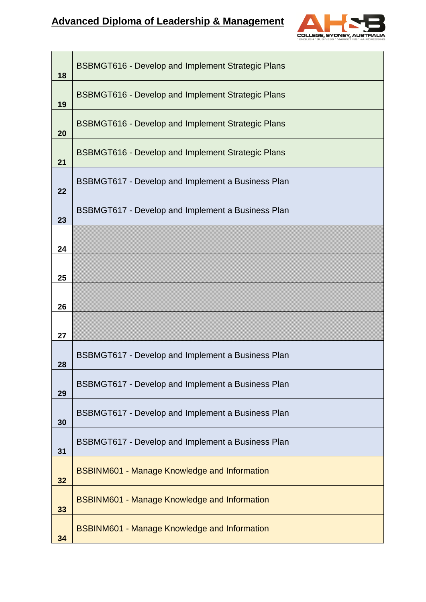## **Advanced Diploma of Leadership & Management**



| 18 | <b>BSBMGT616 - Develop and Implement Strategic Plans</b> |  |  |  |  |  |
|----|----------------------------------------------------------|--|--|--|--|--|
| 19 | <b>BSBMGT616 - Develop and Implement Strategic Plans</b> |  |  |  |  |  |
| 20 | <b>BSBMGT616 - Develop and Implement Strategic Plans</b> |  |  |  |  |  |
| 21 | <b>BSBMGT616 - Develop and Implement Strategic Plans</b> |  |  |  |  |  |
| 22 | <b>BSBMGT617 - Develop and Implement a Business Plan</b> |  |  |  |  |  |
| 23 | <b>BSBMGT617 - Develop and Implement a Business Plan</b> |  |  |  |  |  |
| 24 |                                                          |  |  |  |  |  |
| 25 |                                                          |  |  |  |  |  |
| 26 |                                                          |  |  |  |  |  |
| 27 |                                                          |  |  |  |  |  |
| 28 | BSBMGT617 - Develop and Implement a Business Plan        |  |  |  |  |  |
| 29 | BSBMGT617 - Develop and Implement a Business Plan        |  |  |  |  |  |
| 30 | <b>BSBMGT617 - Develop and Implement a Business Plan</b> |  |  |  |  |  |
| 31 | BSBMGT617 - Develop and Implement a Business Plan        |  |  |  |  |  |
| 32 | <b>BSBINM601 - Manage Knowledge and Information</b>      |  |  |  |  |  |
| 33 | <b>BSBINM601 - Manage Knowledge and Information</b>      |  |  |  |  |  |
| 34 | <b>BSBINM601 - Manage Knowledge and Information</b>      |  |  |  |  |  |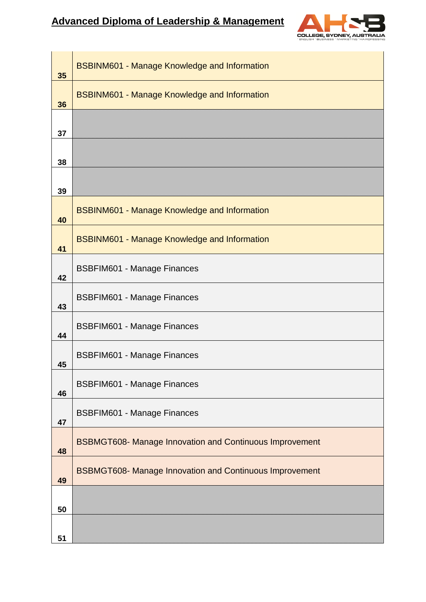## **Advanced Diploma of Leadership & Management**



| 35 | <b>BSBINM601 - Manage Knowledge and Information</b>            |  |  |  |  |
|----|----------------------------------------------------------------|--|--|--|--|
| 36 | <b>BSBINM601 - Manage Knowledge and Information</b>            |  |  |  |  |
| 37 |                                                                |  |  |  |  |
| 38 |                                                                |  |  |  |  |
| 39 |                                                                |  |  |  |  |
| 40 | <b>BSBINM601 - Manage Knowledge and Information</b>            |  |  |  |  |
| 41 | <b>BSBINM601 - Manage Knowledge and Information</b>            |  |  |  |  |
| 42 | <b>BSBFIM601 - Manage Finances</b>                             |  |  |  |  |
| 43 | <b>BSBFIM601 - Manage Finances</b>                             |  |  |  |  |
| 44 | <b>BSBFIM601 - Manage Finances</b>                             |  |  |  |  |
| 45 | <b>BSBFIM601 - Manage Finances</b>                             |  |  |  |  |
| 46 | <b>BSBFIM601 - Manage Finances</b>                             |  |  |  |  |
| 47 | <b>BSBFIM601 - Manage Finances</b>                             |  |  |  |  |
| 48 | <b>BSBMGT608- Manage Innovation and Continuous Improvement</b> |  |  |  |  |
| 49 | <b>BSBMGT608- Manage Innovation and Continuous Improvement</b> |  |  |  |  |
| 50 |                                                                |  |  |  |  |
| 51 |                                                                |  |  |  |  |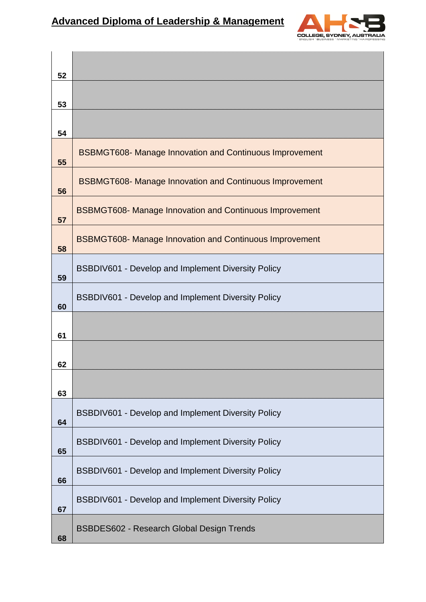

| 52 |                                                                |  |  |  |  |  |
|----|----------------------------------------------------------------|--|--|--|--|--|
| 53 |                                                                |  |  |  |  |  |
| 54 |                                                                |  |  |  |  |  |
| 55 | <b>BSBMGT608- Manage Innovation and Continuous Improvement</b> |  |  |  |  |  |
| 56 | <b>BSBMGT608- Manage Innovation and Continuous Improvement</b> |  |  |  |  |  |
| 57 | <b>BSBMGT608- Manage Innovation and Continuous Improvement</b> |  |  |  |  |  |
| 58 | <b>BSBMGT608- Manage Innovation and Continuous Improvement</b> |  |  |  |  |  |
| 59 | BSBDIV601 - Develop and Implement Diversity Policy             |  |  |  |  |  |
| 60 | BSBDIV601 - Develop and Implement Diversity Policy             |  |  |  |  |  |
| 61 |                                                                |  |  |  |  |  |
| 62 |                                                                |  |  |  |  |  |
| 63 |                                                                |  |  |  |  |  |
| 64 | BSBDIV601 - Develop and Implement Diversity Policy             |  |  |  |  |  |
| 65 | BSBDIV601 - Develop and Implement Diversity Policy             |  |  |  |  |  |
| 66 | BSBDIV601 - Develop and Implement Diversity Policy             |  |  |  |  |  |
| 67 | BSBDIV601 - Develop and Implement Diversity Policy             |  |  |  |  |  |
| 68 | <b>BSBDES602 - Research Global Design Trends</b>               |  |  |  |  |  |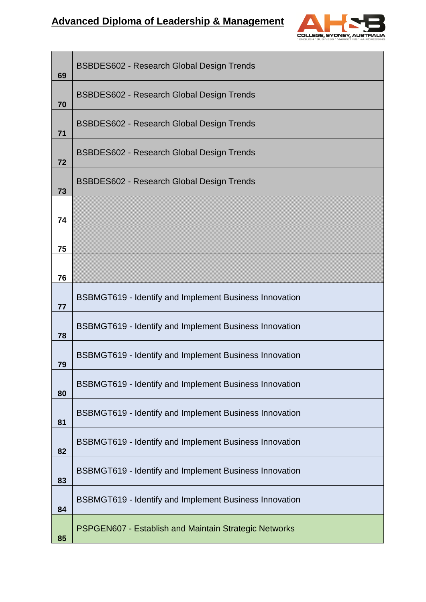## **Advanced Diploma of Leadership & Management**



| 69 | <b>BSBDES602 - Research Global Design Trends</b>              |  |  |  |  |  |  |
|----|---------------------------------------------------------------|--|--|--|--|--|--|
| 70 | <b>BSBDES602 - Research Global Design Trends</b>              |  |  |  |  |  |  |
| 71 | <b>BSBDES602 - Research Global Design Trends</b>              |  |  |  |  |  |  |
| 72 | <b>BSBDES602 - Research Global Design Trends</b>              |  |  |  |  |  |  |
| 73 | <b>BSBDES602 - Research Global Design Trends</b>              |  |  |  |  |  |  |
| 74 |                                                               |  |  |  |  |  |  |
| 75 |                                                               |  |  |  |  |  |  |
| 76 |                                                               |  |  |  |  |  |  |
| 77 | <b>BSBMGT619 - Identify and Implement Business Innovation</b> |  |  |  |  |  |  |
| 78 | <b>BSBMGT619 - Identify and Implement Business Innovation</b> |  |  |  |  |  |  |
| 79 | <b>BSBMGT619 - Identify and Implement Business Innovation</b> |  |  |  |  |  |  |
| 80 | BSBMGT619 - Identify and Implement Business Innovation        |  |  |  |  |  |  |
| 81 | <b>BSBMGT619 - Identify and Implement Business Innovation</b> |  |  |  |  |  |  |
| 82 | BSBMGT619 - Identify and Implement Business Innovation        |  |  |  |  |  |  |
| 83 | BSBMGT619 - Identify and Implement Business Innovation        |  |  |  |  |  |  |
| 84 | BSBMGT619 - Identify and Implement Business Innovation        |  |  |  |  |  |  |
| 85 | PSPGEN607 - Establish and Maintain Strategic Networks         |  |  |  |  |  |  |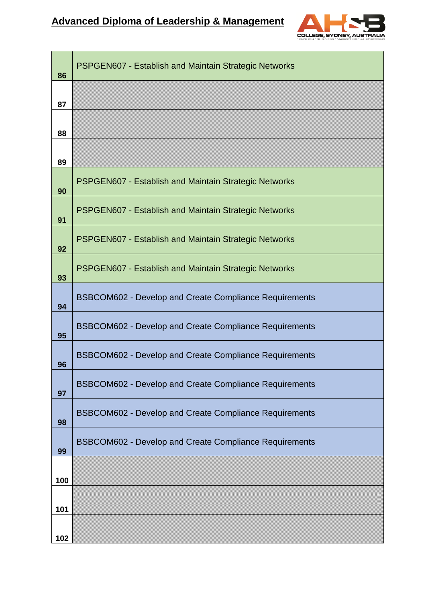

| 86  | <b>PSPGEN607 - Establish and Maintain Strategic Networks</b>  |  |  |  |  |  |
|-----|---------------------------------------------------------------|--|--|--|--|--|
| 87  |                                                               |  |  |  |  |  |
| 88  |                                                               |  |  |  |  |  |
| 89  |                                                               |  |  |  |  |  |
| 90  | <b>PSPGEN607 - Establish and Maintain Strategic Networks</b>  |  |  |  |  |  |
| 91  | <b>PSPGEN607 - Establish and Maintain Strategic Networks</b>  |  |  |  |  |  |
| 92  | <b>PSPGEN607 - Establish and Maintain Strategic Networks</b>  |  |  |  |  |  |
| 93  | <b>PSPGEN607 - Establish and Maintain Strategic Networks</b>  |  |  |  |  |  |
| 94  | <b>BSBCOM602 - Develop and Create Compliance Requirements</b> |  |  |  |  |  |
| 95  | <b>BSBCOM602 - Develop and Create Compliance Requirements</b> |  |  |  |  |  |
| 96  | <b>BSBCOM602 - Develop and Create Compliance Requirements</b> |  |  |  |  |  |
| 97  | <b>BSBCOM602 - Develop and Create Compliance Requirements</b> |  |  |  |  |  |
| 98  | <b>BSBCOM602 - Develop and Create Compliance Requirements</b> |  |  |  |  |  |
| 99  | <b>BSBCOM602 - Develop and Create Compliance Requirements</b> |  |  |  |  |  |
| 100 |                                                               |  |  |  |  |  |
| 101 |                                                               |  |  |  |  |  |
| 102 |                                                               |  |  |  |  |  |